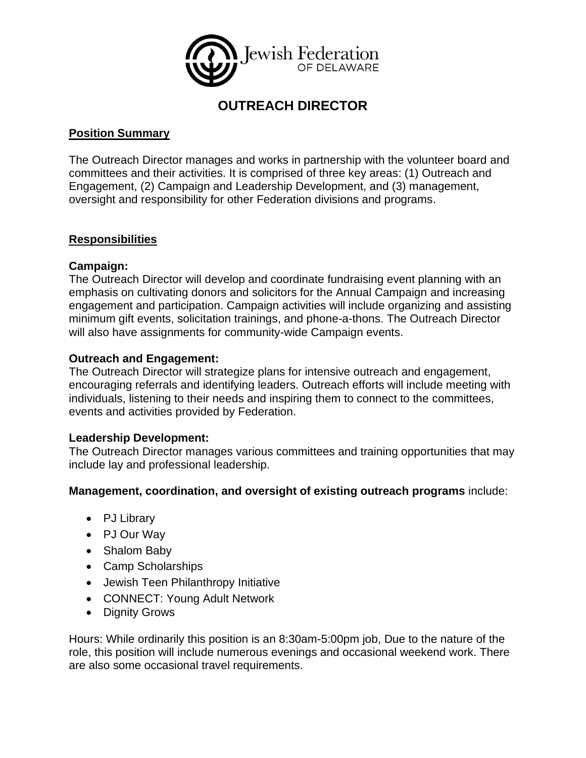

# **OUTREACH DIRECTOR**

## **Position Summary**

The Outreach Director manages and works in partnership with the volunteer board and committees and their activities. It is comprised of three key areas: (1) Outreach and Engagement, (2) Campaign and Leadership Development, and (3) management, oversight and responsibility for other Federation divisions and programs.

## **Responsibilities**

## **Campaign:**

The Outreach Director will develop and coordinate fundraising event planning with an emphasis on cultivating donors and solicitors for the Annual Campaign and increasing engagement and participation. Campaign activities will include organizing and assisting minimum gift events, solicitation trainings, and phone-a-thons. The Outreach Director will also have assignments for community-wide Campaign events.

## **Outreach and Engagement:**

The Outreach Director will strategize plans for intensive outreach and engagement, encouraging referrals and identifying leaders. Outreach efforts will include meeting with individuals, listening to their needs and inspiring them to connect to the committees, events and activities provided by Federation.

#### **Leadership Development:**

The Outreach Director manages various committees and training opportunities that may include lay and professional leadership.

#### **Management, coordination, and oversight of existing outreach programs** include:

- PJ Library
- PJ Our Way
- Shalom Baby
- Camp Scholarships
- Jewish Teen Philanthropy Initiative
- CONNECT: Young Adult Network
- Dignity Grows

Hours: While ordinarily this position is an 8:30am-5:00pm job, Due to the nature of the role, this position will include numerous evenings and occasional weekend work. There are also some occasional travel requirements.